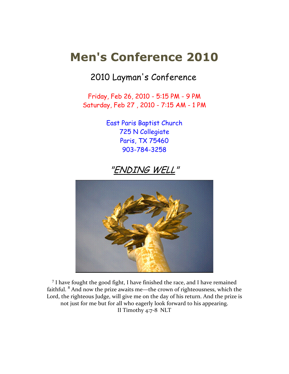# Men's Conference 2010

## 2010 Layman's Conference

Friday, Feb 26, 2010 - 5:15 PM - 9 PM Saturday, Feb 27 , 2010 - 7:15 AM - 1 PM

> East Paris Baptist Church 725 N Collegiate Paris, TX 75460 903-784-3258

## "ENDING WELL"



<sup>7</sup> I have fought the good fight, I have finished the race, and I have remained faithful. <sup>8</sup> And now the prize awaits me—the crown of righteousness, which the Lord, the righteous Judge, will give me on the day of his return. And the prize is not just for me but for all who eagerly look forward to his appearing. II Timothy 4:7-8 NLT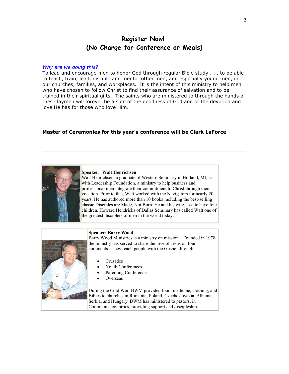## Register Now! (No Charge for Conference or Meals)

#### Why are we doing this?

To lead and encourage men to honor God through regular Bible study . . . to be able to teach, train, lead, disciple and mentor other men, and especially young men, in our churches, families, and workplaces. It is the intent of this ministry to help men who have chosen to follow Christ to find their assurance of salvation and to be trained in their spiritual gifts. The saints who are ministered to through the hands of these laymen will forever be a sign of the goodness of God and of the devotion and love He has for those who love Him.

#### Master of Ceremonies for this year's conference will be Clark LaForce



#### Speaker: Walt Henrichsen

Walt Henrichsen, a graduate of Western Seminary in Holland, MI, is with Leadership Foundation, a ministry to help business and professional men integrate their commitment to Christ through their vocation. Prior to this, Walt worked with the Navigators for nearly 20 years. He has authored more than 10 books including the best-selling classic Disciples are Made, Not Born. He and his wife, Leette have four children. Howard Hendricks of Dallas Seminary has called Walt one of the greatest disciplers of men in the world today.



#### Speaker: Barry Wood

Barry Wood Ministries is a ministry on mission. Founded in 1978, the ministry has served to share the love of Jesus on four continents. They reach people with the Gospel through:

- Crusades
- Youth Conferences
- Parenting Conferences
- **Overseas**

During the Cold War, BWM provided food, medicine, clothing, and Bibles to churches in Romania, Poland, Czechoslovakia, Albania, Serbia, and Hungary. BWM has ministered to pastors, in Communist countries, providing support and discipleship.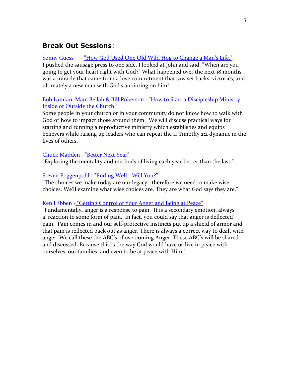## Break Out Sessions:

### Sonny Guess - "How God Used One Old Wild Hog to Change a Man's Life."

I pushed the sausage press to one side. I looked at John and said, "When are you going to get your heart right with God?" What happened over the next 18 months was a miracle that came from a love commitment that saw set backs, victories, and ultimately a new man with God's anointing on him!

## Bob Lamkin, Marc Bellah & Bill Roberson - "How to Start a Discipleship Ministry Inside or Outside the Church."

Some people in your church or in your community do not know how to walk with God or how to impact those around them. We will discuss practical ways for starting and running a reproductive ministry which establishes and equips believers while raising up leaders who can repeat the II Timothy 2:2 dynamic in the lives of others.

### Chuck Madden - "Better Next Year"

"Exploring the mentality and methods of living each year better than the last."

### Steven Poggenpohl - "Ending Well - Will You?"

"The choices we make today are our legacy...therefore we need to make wise choices. We'll examine what wise choices are. They are what God says they are."

#### Ken Hibben - "Getting Control of Your Anger and Being at Peace"

"Fundamentally, anger is a response to pain. It is a secondary emotion, always a reaction to some form of pain. In fact, you could say that anger is deflected pain. Pain comes in and our self-protective instincts put up a shield of armor and that pain is reflected back out as anger. There is always a correct way to dealt with anger. We call these the ABC's of overcoming Anger. These ABC's will be shared and discussed. Because this is the way God would have us live in peace with ourselves, our families, and even to be at peace with Him."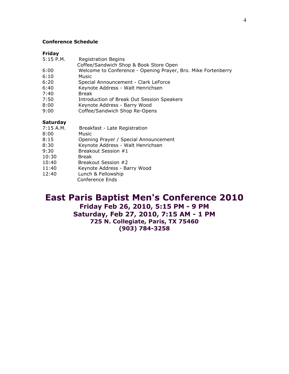#### Conference Schedule

#### Friday

- 5:15 P.M. Registration Begins
- Coffee/Sandwich Shop & Book Store Open
- 6:00 Welcome to Conference Opening Prayer, Bro. Mike Fortenberry
- 6:10 Music
- 6:20 Special Announcement Clark LeForce
- 6:40 Keynote Address Walt Henrichsen
- 7:40 Break
- 7:50 Introduction of Break Out Session Speakers
- 8:00 Keynote Address Barry Wood
- 9:00 Coffee/Sandwich Shop Re-Opens

#### Saturday

- 7:15 A.M. Breakfast Late Registration
- 8:00 Music
- 8:15 Opening Prayer / Special Announcement
- 8:30 Keynote Address Walt Henrichsen
- 9:30 Breakout Session #1
- 10:30 Break
- 10:40 Breakout Session #2
- 11:40 Keynote Address Barry Wood
- 12:40 Lunch & Fellowship
	- Conference Ends

## East Paris Baptist Men's Conference 2010 Friday Feb 26, 2010, 5:15 PM - 9 PM Saturday, Feb 27, 2010, 7:15 AM - 1 PM 725 N. Collegiate, Paris, TX 75460 (903) 784-3258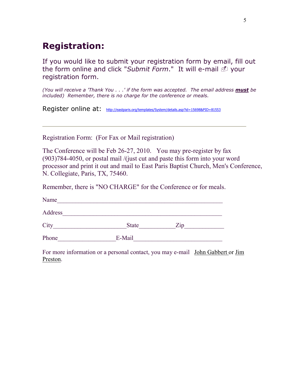## Registration:

If you would like to submit your registration form by email, fill out the form online and click "Submit Form." It will e-mail **D** your registration form.

(You will receive a 'Thank You . . .' if the form was accepted. The email address **must** be included) Remember, there is no charge for the conference or meals.

Register online at: http://eastparis.org/templates/System/details.asp?id=15698&PID=81553

Registration Form: (For Fax or Mail registration)

The Conference will be Feb 26-27, 2010. You may pre-register by fax (903)784-4050, or postal mail /(just cut and paste this form into your word processor and print it out and mail to East Paris Baptist Church, Men's Conference, N. Collegiate, Paris, TX, 75460.

Remember, there is "NO CHARGE" for the Conference or for meals.

| Name    |              |                   |  |
|---------|--------------|-------------------|--|
| Address |              |                   |  |
| City    | <b>State</b> | $\overline{Z}$ ip |  |
| Phone   | E-Mail       |                   |  |

For more information or a personal contact, you may e-mail John Gabbert or Jim Preston.